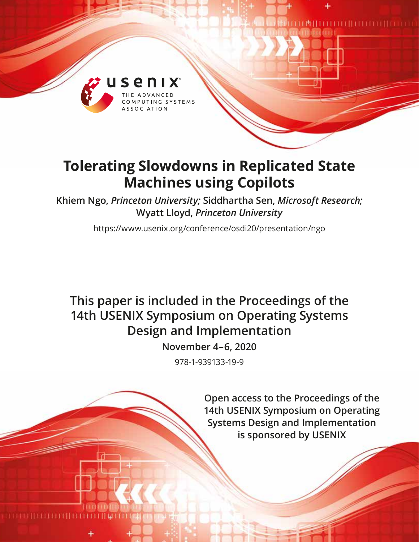

# **Tolerating Slowdowns in Replicated State Machines using Copilots**

**Khiem Ngo,** *Princeton University;* **Siddhartha Sen,** *Microsoft Research;* **Wyatt Lloyd,** *Princeton University*

https://www.usenix.org/conference/osdi20/presentation/ngo

# **This paper is included in the Proceedings of the 14th USENIX Symposium on Operating Systems Design and Implementation**

**November 4–6, 2020**

978-1-939133-19-9

**Open access to the Proceedings of the 14th USENIX Symposium on Operating Systems Design and Implementation is sponsored by USENIX**

**MINIMUM AND IN THE UPPER**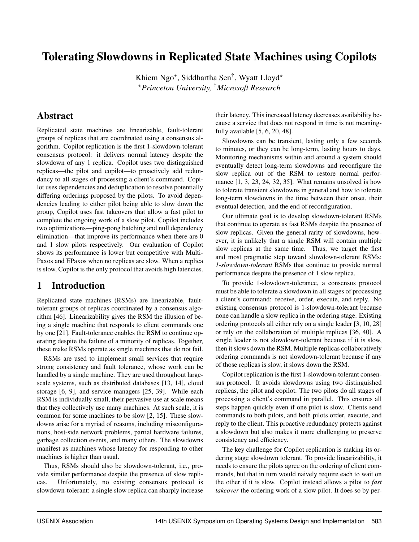# Tolerating Slowdowns in Replicated State Machines using Copilots

Khiem Ngo<sup>\*</sup>, Siddhartha Sen<sup>†</sup>, Wyatt Lloyd<sup>\*</sup> ?*Princeton University,* †*Microsoft Research*

## Abstract

Replicated state machines are linearizable, fault-tolerant groups of replicas that are coordinated using a consensus algorithm. Copilot replication is the first 1-slowdown-tolerant consensus protocol: it delivers normal latency despite the slowdown of any 1 replica. Copilot uses two distinguished replicas—the pilot and copilot—to proactively add redundancy to all stages of processing a client's command. Copilot uses dependencies and deduplication to resolve potentially differing orderings proposed by the pilots. To avoid dependencies leading to either pilot being able to slow down the group, Copilot uses fast takeovers that allow a fast pilot to complete the ongoing work of a slow pilot. Copilot includes two optimizations—ping-pong batching and null dependency elimination—that improve its performance when there are 0 and 1 slow pilots respectively. Our evaluation of Copilot shows its performance is lower but competitive with Multi-Paxos and EPaxos when no replicas are slow. When a replica is slow, Copilot is the only protocol that avoids high latencies.

# 1 Introduction

Replicated state machines (RSMs) are linearizable, faulttolerant groups of replicas coordinated by a consensus algorithm [\[46\]](#page-16-0). Linearizability gives the RSM the illusion of being a single machine that responds to client commands one by one [\[21\]](#page-15-0). Fault-tolerance enables the RSM to continue operating despite the failure of a minority of replicas. Together, these make RSMs operate as single machines that do not fail.

RSMs are used to implement small services that require strong consistency and fault tolerance, whose work can be handled by a single machine. They are used throughout largescale systems, such as distributed databases [\[13,](#page-15-1) [14\]](#page-15-2), cloud storage [\[6,](#page-15-3) [9\]](#page-15-4), and service managers [\[25,](#page-15-5) [39\]](#page-16-1). While each RSM is individually small, their pervasive use at scale means that they collectively use many machines. At such scale, it is common for some machines to be slow [\[2,](#page-15-6) [15\]](#page-15-7). These slowdowns arise for a myriad of reasons, including misconfigurations, host-side network problems, partial hardware failures, garbage collection events, and many others. The slowdowns manifest as machines whose latency for responding to other machines is higher than usual.

Thus, RSMs should also be slowdown-tolerant, i.e., provide similar performance despite the presence of slow replicas. Unfortunately, no existing consensus protocol is slowdown-tolerant: a single slow replica can sharply increase their latency. This increased latency decreases availability because a service that does not respond in time is not meaningfully available [\[5,](#page-15-8) [6,](#page-15-3) [20,](#page-15-9) [48\]](#page-16-2).

Slowdowns can be transient, lasting only a few seconds to minutes, or they can be long-term, lasting hours to days. Monitoring mechanisms within and around a system should eventually detect long-term slowdowns and reconfigure the slow replica out of the RSM to restore normal performance [\[1,](#page-15-10) [3,](#page-15-11) [23,](#page-15-12) [24,](#page-15-13) [32,](#page-16-3) [35\]](#page-16-4). What remains unsolved is how to tolerate transient slowdowns in general and how to tolerate long-term slowdowns in the time between their onset, their eventual detection, and the end of reconfiguration.

Our ultimate goal is to develop slowdown-tolerant RSMs that continue to operate as fast RSMs despite the presence of slow replicas. Given the general rarity of slowdowns, however, it is unlikely that a single RSM will contain multiple slow replicas at the same time. Thus, we target the first and most pragmatic step toward slowdown-tolerant RSMs: *1-slowdown-tolerant* RSMs that continue to provide normal performance despite the presence of 1 slow replica.

To provide 1-slowdown-tolerance, a consensus protocol must be able to tolerate a slowdown in all stages of processing a client's command: receive, order, execute, and reply. No existing consensus protocol is 1-slowdown-tolerant because none can handle a slow replica in the ordering stage. Existing ordering protocols all either rely on a single leader [\[3,](#page-15-11) [10,](#page-15-14) [28\]](#page-15-15) or rely on the collaboration of multiple replicas [\[36,](#page-16-5) [40\]](#page-16-6). A single leader is not slowdown-tolerant because if it is slow, then it slows down the RSM. Multiple replicas collaboratively ordering commands is not slowdown-tolerant because if any of those replicas is slow, it slows down the RSM.

Copilot replication is the first 1-slowdown-tolerant consensus protocol. It avoids slowdowns using two distinguished replicas, the pilot and copilot. The two pilots do all stages of processing a client's command in parallel. This ensures all steps happen quickly even if one pilot is slow. Clients send commands to both pilots, and both pilots order, execute, and reply to the client. This proactive redundancy protects against a slowdown but also makes it more challenging to preserve consistency and efficiency.

The key challenge for Copilot replication is making its ordering stage slowdown tolerant. To provide linearizability, it needs to ensure the pilots agree on the ordering of client commands, but that in turn would naively require each to wait on the other if it is slow. Copilot instead allows a pilot to *fast takeover* the ordering work of a slow pilot. It does so by per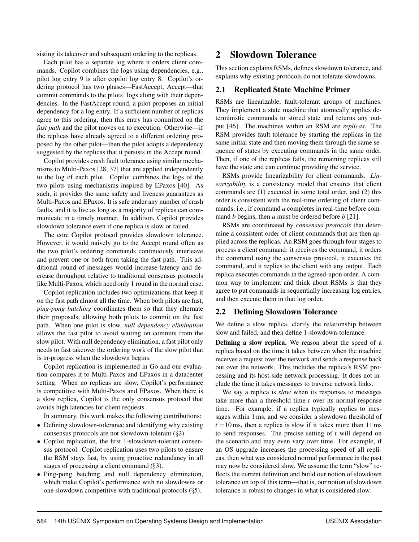sisting its takeover and subsequent ordering to the replicas.

Each pilot has a separate log where it orders client commands. Copilot combines the logs using dependencies, e.g., pilot log entry 9 is after copilot log entry 8. Copilot's ordering protocol has two phases—FastAccept, Accept—that commit commands to the pilots' logs along with their dependencies. In the FastAccept round, a pilot proposes an initial dependency for a log entry. If a sufficient number of replicas agree to this ordering, then this entry has committed on the *fast path* and the pilot moves on to execution. Otherwise—if the replicas have already agreed to a different ordering proposed by the other pilot—then the pilot adopts a dependency suggested by the replicas that it persists in the Accept round.

Copilot provides crash fault tolerance using similar mechanisms to Multi-Paxos [\[28,](#page-15-15) [37\]](#page-16-7) that are applied independently to the log of each pilot. Copilot combines the logs of the two pilots using mechanisms inspired by EPaxos [\[40\]](#page-16-6). As such, it provides the same safety and liveness guarantees as Multi-Paxos and EPaxos. It is safe under any number of crash faults, and it is live as long as a majority of replicas can communicate in a timely manner. In addition, Copilot provides slowdown tolerance even if one replica is slow or failed.

The core Copilot protocol provides slowdown tolerance. However, it would naively go to the Accept round often as the two pilot's ordering commands continuously interleave and prevent one or both from taking the fast path. This additional round of messages would increase latency and decrease throughput relative to traditional consensus protocols like Multi-Paxos, which need only 1 round in the normal case.

Copilot replication includes two optimizations that keep it on the fast path almost all the time. When both pilots are fast, *ping-pong batching* coordinates them so that they alternate their proposals, allowing both pilots to commit on the fast path. When one pilot is slow, *null dependency elimination* allows the fast pilot to avoid waiting on commits from the slow pilot. With null dependency elimination, a fast pilot only needs to fast takeover the ordering work of the slow pilot that is in-progress when the slowdown begins.

Copilot replication is implemented in Go and our evaluation compares it to Multi-Paxos and EPaxos in a datacenter setting. When no replicas are slow, Copilot's performance is competitive with Multi-Paxos and EPaxos. When there is a slow replica, Copilot is the only consensus protocol that avoids high latencies for client requests.

In summary, this work makes the following contributions:

- Defining slowdown-tolerance and identifying why existing consensus protocols are not slowdown-tolerant (§[2\)](#page-2-0).
- Copilot replication, the first 1-slowdown-tolerant consensus protocol. Copilot replication uses two pilots to ensure the RSM stays fast, by using proactive redundancy in all stages of processing a client command  $(\S 3)$  $(\S 3)$ .
- Ping-pong batching and null dependency elimination, which make Copilot's performance with no slowdowns or one slowdown competitive with traditional protocols (§[5\)](#page-9-0).

## <span id="page-2-0"></span>2 Slowdown Tolerance

This section explains RSMs, defines slowdown tolerance, and explains why existing protocols do not tolerate slowdowns.

#### 2.1 Replicated State Machine Primer

RSMs are linearizable, fault-tolerant groups of machines. They implement a state machine that atomically applies deterministic commands to stored state and returns any output [\[46\]](#page-16-0). The machines within an RSM are *replicas*. The RSM provides fault tolerance by starting the replicas in the same initial state and then moving them through the same sequence of states by executing commands in the same order. Then, if one of the replicas fails, the remaining replicas still have the state and can continue providing the service.

RSMs provide linearizability for client commands. *Linearizability* is a consistency model that ensures that client commands are (1) executed in some total order, and (2) this order is consistent with the real-time ordering of client commands, i.e., if command *a* completes in real-time before command *b* begins, then *a* must be ordered before *b* [\[21\]](#page-15-0).

RSMs are coordinated by *consensus protocols* that determine a consistent order of client commands that are then applied across the replicas. An RSM goes through four stages to process a client command: it receives the command, it orders the command using the consensus protocol, it executes the command, and it replies to the client with any output. Each replica executes commands in the agreed-upon order. A common way to implement and think about RSMs is that they agree to put commands in sequentially increasing log entries, and then execute them in that log order.

#### 2.2 Defining Slowdown Tolerance

We define a slow replica, clarify the relationship between slow and failed, and then define 1-slowdown-tolerance.

Defining a slow replica. We reason about the speed of a replica based on the time it takes between when the machine receives a request over the network and sends a response back out over the network. This includes the replica's RSM processing and its host-side network processing. It does not include the time it takes messages to traverse network links.

We say a replica is *slow* when its responses to messages take more than a threshold time *t* over its normal response time. For example, if a replica typically replies to messages within 1 ms, and we consider a slowdown threshold of  $t = 10$  ms, then a replica is slow if it takes more than 11 ms to send responses. The precise setting of *t* will depend on the scenario and may even vary over time. For example, if an OS upgrade increases the processing speed of all replicas, then what was considered normal performance in the past may now be considered slow. We assume the term "slow" reflects the current definition and build our notion of slowdown tolerance on top of this term—that is, our notion of slowdown tolerance is robust to changes in what is considered slow.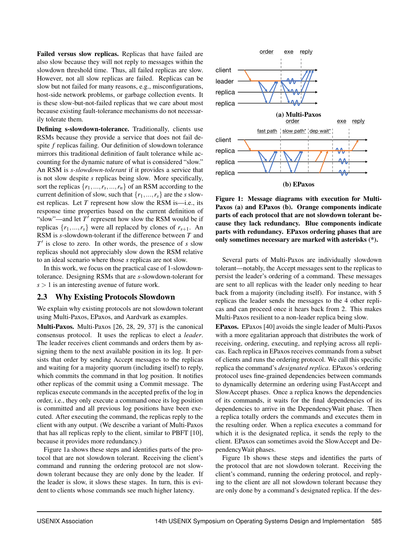Failed versus slow replicas. Replicas that have failed are also slow because they will not reply to messages within the slowdown threshold time. Thus, all failed replicas are slow. However, not all slow replicas are failed. Replicas can be slow but not failed for many reasons, e.g., misconfigurations, host-side network problems, or garbage collection events. It is these slow-but-not-failed replicas that we care about most because existing fault-tolerance mechanisms do not necessarily tolerate them.

Defining s-slowdown-tolerance. Traditionally, clients use RSMs because they provide a service that does not fail despite *f* replicas failing. Our definition of slowdown tolerance mirrors this traditional definition of fault tolerance while accounting for the dynamic nature of what is considered "slow." An RSM is *s-slowdown-tolerant* if it provides a service that is not slow despite *s* replicas being slow. More specifically, sort the replicas  $\{r_1, ..., r_s, ..., r_n\}$  of an RSM according to the current definition of slow, such that  $\{r_1, \ldots, r_s\}$  are the *s* slowest replicas. Let *T* represent how slow the RSM is—i.e., its response time properties based on the current definition of "slow"—and let  $T'$  represent how slow the RSM would be if replicas  $\{r_1, ..., r_s\}$  were all replaced by clones of  $r_{s+1}$ . An RSM is *s*-slowdown-tolerant if the difference between *T* and  $T'$  is close to zero. In other words, the presence of  $s$  slow replicas should not appreciably slow down the RSM relative to an ideal scenario where those *s* replicas are not slow.

In this work, we focus on the practical case of 1-slowdowntolerance. Designing RSMs that are *s*-slowdown-tolerant for  $s > 1$  is an interesting avenue of future work.

#### <span id="page-3-1"></span>2.3 Why Existing Protocols Slowdown

We explain why existing protocols are not slowdown tolerant using Multi-Paxos, EPaxos, and Aardvark as examples.

Multi-Paxos. Multi-Paxos [\[26,](#page-15-16) [28,](#page-15-15) [29,](#page-16-8) [37\]](#page-16-7) is the canonical consensus protocol. It uses the replicas to elect a *leader*. The leader receives client commands and orders them by assigning them to the next available position in its log. It persists that order by sending Accept messages to the replicas and waiting for a majority quorum (including itself) to reply, which commits the command in that log position. It notifies other replicas of the commit using a Commit message. The replicas execute commands in the accepted prefix of the log in order, i.e., they only execute a command once its log position is committed and all previous log positions have been executed. After executing the command, the replicas reply to the client with any output. (We describe a variant of Multi-Paxos that has all replicas reply to the client, similar to PBFT [\[10\]](#page-15-14), because it provides more redundancy.)

Figure [1a](#page-3-0) shows these steps and identifies parts of the protocol that are not slowdown tolerant. Receiving the client's command and running the ordering protocol are not slowdown tolerant because they are only done by the leader. If the leader is slow, it slows these stages. In turn, this is evident to clients whose commands see much higher latency.

<span id="page-3-0"></span>

Figure 1: Message diagrams with execution for Multi-Paxos (a) and EPaxos (b). Orange components indicate parts of each protocol that are not slowdown tolerant because they lack redundancy. Blue components indicate parts with redundancy. EPaxos ordering phases that are only sometimes necessary are marked with asterisks (\*).

Several parts of Multi-Paxos are individually slowdown tolerant—notably, the Accept messages sent to the replicas to persist the leader's ordering of a command. These messages are sent to all replicas with the leader only needing to hear back from a majority (including itself). For instance, with 5 replicas the leader sends the messages to the 4 other replicas and can proceed once it hears back from 2. This makes Multi-Paxos resilient to a non-leader replica being slow.

EPaxos. EPaxos [\[40\]](#page-16-6) avoids the single leader of Multi-Paxos with a more egalitarian approach that distributes the work of receiving, ordering, executing, and replying across all replicas. Each replica in EPaxos receives commands from a subset of clients and runs the ordering protocol. We call this specific replica the command's *designated replica*. EPaxos's ordering protocol uses fine-grained dependencies between commands to dynamically determine an ordering using FastAccept and SlowAccept phases. Once a replica knows the dependencies of its commands, it waits for the final dependencies of its dependencies to arrive in the DependencyWait phase. Then a replica totally orders the commands and executes them in the resulting order. When a replica executes a command for which it is the designated replica, it sends the reply to the client. EPaxos can sometimes avoid the SlowAccept and DependencyWait phases.

Figure [1b](#page-3-0) shows these steps and identifies the parts of the protocol that are not slowdown tolerant. Receiving the client's command, running the ordering protocol, and replying to the client are all not slowdown tolerant because they are only done by a command's designated replica. If the des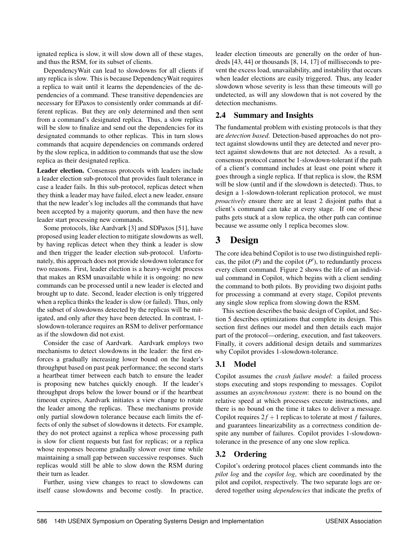ignated replica is slow, it will slow down all of these stages, and thus the RSM, for its subset of clients.

DependencyWait can lead to slowdowns for all clients if any replica is slow. This is because DependencyWait requires a replica to wait until it learns the dependencies of the dependencies of a command. These transitive dependencies are necessary for EPaxos to consistently order commands at different replicas. But they are only determined and then sent from a command's designated replica. Thus, a slow replica will be slow to finalize and send out the dependencies for its designated commands to other replicas. This in turn slows commands that acquire dependencies on commands ordered by the slow replica, in addition to commands that use the slow replica as their designated replica.

<span id="page-4-1"></span>Leader election. Consensus protocols with leaders include a leader election sub-protocol that provides fault tolerance in case a leader fails. In this sub-protocol, replicas detect when they think a leader may have failed, elect a new leader, ensure that the new leader's log includes all the commands that have been accepted by a majority quorum, and then have the new leader start processing new commands.

Some protocols, like Aardvark [\[3\]](#page-15-11) and SDPaxos [\[51\]](#page-16-9), have proposed using leader election to mitigate slowdowns as well, by having replicas detect when they think a leader is slow and then trigger the leader election sub-protocol. Unfortunately, this approach does not provide slowdown tolerance for two reasons. First, leader election is a heavy-weight process that makes an RSM unavailable while it is ongoing: no new commands can be processed until a new leader is elected and brought up to date. Second, leader election is only triggered when a replica thinks the leader is slow (or failed). Thus, only the subset of slowdowns detected by the replicas will be mitigated, and only after they have been detected. In contrast, 1 slowdown-tolerance requires an RSM to deliver performance as if the slowdown did not exist.

Consider the case of Aardvark. Aardvark employs two mechanisms to detect slowdowns in the leader: the first enforces a gradually increasing lower bound on the leader's throughput based on past peak performance; the second starts a heartbeat timer between each batch to ensure the leader is proposing new batches quickly enough. If the leader's throughput drops below the lower bound or if the heartbeat timeout expires, Aardvark initiates a view change to rotate the leader among the replicas. These mechanisms provide only partial slowdown tolerance because each limits the effects of only the subset of slowdowns it detects. For example, they do not protect against a replica whose processing path is slow for client requests but fast for replicas; or a replica whose responses become gradually slower over time while maintaining a small gap between successive responses. Such replicas would still be able to slow down the RSM during their turn as leader.

Further, using view changes to react to slowdowns can itself cause slowdowns and become costly. In practice, leader election timeouts are generally on the order of hundreds [\[43,](#page-16-10) [44\]](#page-16-11) or thousands [\[8,](#page-15-17) [14,](#page-15-2) [17\]](#page-15-18) of milliseconds to prevent the excess load, unavailability, and instability that occurs when leader elections are easily triggered. Thus, any leader slowdown whose severity is less than these timeouts will go undetected, as will any slowdown that is not covered by the detection mechanisms.

### 2.4 Summary and Insights

The fundamental problem with existing protocols is that they are *detection based*. Detection-based approaches do not protect against slowdowns until they are detected and never protect against slowdowns that are not detected. As a result, a consensus protocol cannot be 1-slowdown-tolerant if the path of a client's command includes at least one point where it goes through a single replica. If that replica is slow, the RSM will be slow (until and if the slowdown is detected). Thus, to design a 1-slowdown-tolerant replication protocol, we must *proactively* ensure there are at least 2 disjoint paths that a client's command can take at every stage. If one of these paths gets stuck at a slow replica, the other path can continue because we assume only 1 replica becomes slow.

# <span id="page-4-0"></span>3 Design

The core idea behind Copilot is to use two distinguished replicas, the pilot  $(P)$  and the copilot  $(P')$ , to redundantly process every client command. Figure [2](#page-5-0) shows the life of an individual command in Copilot, which begins with a client sending the command to both pilots. By providing two disjoint paths for processing a command at every stage, Copilot prevents any single slow replica from slowing down the RSM.

This section describes the basic design of Copilot, and Section [5](#page-9-0) describes optimizations that complete its design. This section first defines our model and then details each major part of the protocol—ordering, execution, and fast takeovers. Finally, it covers additional design details and summarizes why Copilot provides 1-slowdown-tolerance.

## 3.1 Model

Copilot assumes the *crash failure model*: a failed process stops executing and stops responding to messages. Copilot assumes an *asynchronous system*: there is no bound on the relative speed at which processes execute instructions, and there is no bound on the time it takes to deliver a message. Copilot requires  $2f + 1$  replicas to tolerate at most *f* failures, and guarantees linearizability as a correctness condition despite any number of failures. Copilot provides 1-slowdowntolerance in the presence of any one slow replica.

## <span id="page-4-2"></span>3.2 Ordering

Copilot's ordering protocol places client commands into the *pilot log* and the *copilot log*, which are coordinated by the pilot and copilot, respectively. The two separate logs are ordered together using *dependencies* that indicate the prefix of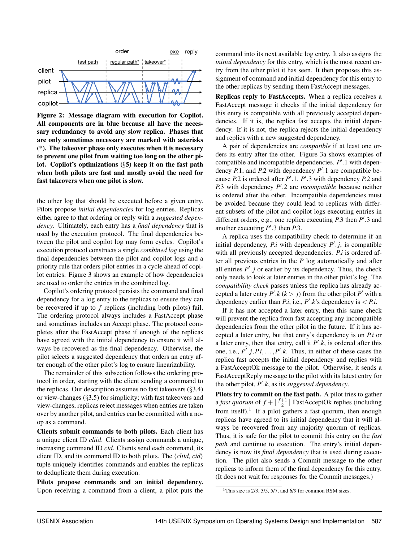<span id="page-5-0"></span>

Figure 2: Message diagram with execution for Copilot. All components are in blue because all have the necessary redundancy to avoid any slow replica. Phases that are only sometimes necessary are marked with asterisks (\*). The takeover phase only executes when it is necessary to prevent one pilot from waiting too long on the other pilot. Copilot's optimizations (§[5\)](#page-9-0) keep it on the fast path when both pilots are fast and mostly avoid the need for fast takeovers when one pilot is slow.

the other log that should be executed before a given entry. Pilots propose *initial dependencies* for log entries. Replicas either agree to that ordering or reply with a *suggested dependency*. Ultimately, each entry has a *final dependency* that is used by the execution protocol. The final dependencies between the pilot and copilot log may form cycles. Copilot's execution protocol constructs a single *combined log* using the final dependencies between the pilot and copilot logs and a priority rule that orders pilot entries in a cycle ahead of copilot entries. Figure [3](#page-6-0) shows an example of how dependencies are used to order the entries in the combined log.

Copilot's ordering protocol persists the command and final dependency for a log entry to the replicas to ensure they can be recovered if up to *f* replicas (including both pilots) fail. The ordering protocol always includes a FastAccept phase and sometimes includes an Accept phase. The protocol completes after the FastAccept phase if enough of the replicas have agreed with the initial dependency to ensure it will always be recovered as the final dependency. Otherwise, the pilot selects a suggested dependency that orders an entry after enough of the other pilot's log to ensure linearizability.

The remainder of this subsection follows the ordering protocol in order, starting with the client sending a command to the replicas. Our description assumes no fast takeovers  $(\S3.4)$  $(\S3.4)$ or view-changes (§[3.5\)](#page-8-0) for simplicity; with fast takeovers and view-changes, replicas reject messages when entries are taken over by another pilot, and entries can be committed with a noop as a command.

Clients submit commands to both pilots. Each client has a unique client ID *cliid*. Clients assign commands a unique, increasing command ID *cid*. Clients send each command, its client ID, and its command ID to both pilots. The  $\langle$ *cliid, cid* $\rangle$ tuple uniquely identifies commands and enables the replicas to deduplicate them during execution.

Pilots propose commands and an initial dependency. Upon receiving a command from a client, a pilot puts the command into its next available log entry. It also assigns the *initial dependency* for this entry, which is the most recent entry from the other pilot it has seen. It then proposes this assignment of command and initial dependency for this entry to the other replicas by sending them FastAccept messages.

Replicas reply to FastAccepts. When a replica receives a FastAccept message it checks if the initial dependency for this entry is compatible with all previously accepted dependencies. If it is, the replica fast accepts the initial dependency. If it is not, the replica rejects the initial dependency and replies with a new suggested dependency.

A pair of dependencies are *compatible* if at least one orders its entry after the other. Figure [3a](#page-6-0) shows examples of compatible and incompatible dependencies.  $P'$ .1 with dependency  $P.1$ , and  $P.2$  with dependency  $P'.1$  are compatible because  $P.2$  is ordered after  $P'.1. P'.3$  with dependency  $P.2$  and *P.3* with dependency *P'.2* are *incompatible* because neither is ordered after the other. Incompatible dependencies must be avoided because they could lead to replicas with different subsets of the pilot and copilot logs executing entries in different orders, e.g., one replica executing *P*.3 then *P'*.3 and another executing  $P'$ .3 then  $P$ .3.

A replica uses the compatibility check to determine if an initial dependency,  $P_i$  with dependency  $P' \cdot j$ , is compatible with all previously accepted dependencies. *P*.*i* is ordered after all previous entries in the *P* log automatically and after all entries  $P' \cdot j$  or earlier by its dependency. Thus, the check only needs to look at later entries in the other pilot's log. The *compatibility check* passes unless the replica has already accepted a later entry  $P'$ .*k* ( $k > j$ ) from the other pilot  $P'$  with a dependency earlier than *P.i*, i.e.,  $P'$ . $k$ 's dependency is  $\lt P$ .*i*.

If it has not accepted a later entry, then this same check will prevent the replica from fast accepting any incompatible dependencies from the other pilot in the future. If it has accepted a later entry, but that entry's dependency is on *P*.*i* or a later entry, then that entry, call it  $P'$ . $k$ , is ordered after this one, i.e.,  $P' \cdot j$ ,  $P \cdot i$ ,  $\dots$ ,  $P' \cdot k$ . Thus, in either of these cases the replica fast accepts the initial dependency and replies with a FastAcceptOk message to the pilot. Otherwise, it sends a FastAcceptReply message to the pilot with its latest entry for the other pilot, P'.k, as its *suggested dependency*.

Pilots try to commit on the fast path. A pilot tries to gather a *fast quorum* of  $f + \lfloor \frac{f+1}{2} \rfloor$  $\frac{+1}{2}$  FastAcceptOk replies (including from itself).<sup>[1](#page-5-1)</sup> If a pilot gathers a fast quorum, then enough replicas have agreed to its initial dependency that it will always be recovered from any majority quorum of replicas. Thus, it is safe for the pilot to commit this entry on the *fast path* and continue to execution. The entry's initial dependency is now its *final dependency* that is used during execution. The pilot also sends a Commit message to the other replicas to inform them of the final dependency for this entry. (It does not wait for responses for the Commit messages.)

<span id="page-5-1"></span><sup>&</sup>lt;sup>1</sup>This size is  $2/3$ ,  $3/5$ ,  $5/7$ , and  $6/9$  for common RSM sizes.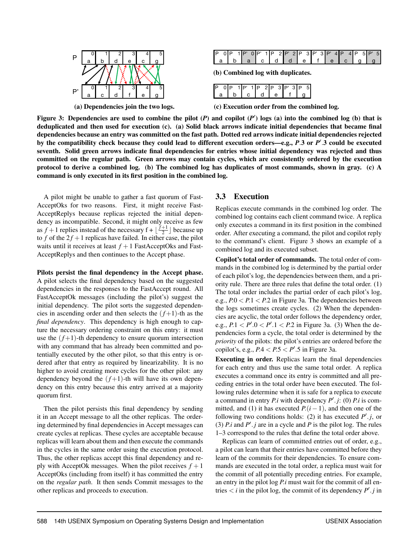<span id="page-6-0"></span>

| IP |  | XXII<br>3235<br>w |  | ⊔י | <b>SOF</b><br>100000 |  |   | <b>SOF</b><br>ж | SO.<br>XB | $\sim 10^{30}$ |
|----|--|-------------------|--|----|----------------------|--|---|-----------------|-----------|----------------|
|    |  |                   |  |    |                      |  | £ |                 |           |                |

(b) Combined log with duplicates.

| Ρ | l D | IP' | $IP$ 2 $IP$ 3 $IP'$ | 51<br>3 I P |
|---|-----|-----|---------------------|-------------|
|   |     |     |                     |             |

(c) Execution order from the combined log.

Figure 3: Dependencies are used to combine the pilot  $(P)$  and copilot  $(P')$  logs  $(a)$  into the combined log  $(b)$  that is deduplicated and then used for execution [\(c\)](#page-6-0). [\(a\)](#page-6-0) Solid black arrows indicate initial dependencies that became final dependencies because an entry was committed on the fast path. Dotted red arrows indicate initial dependencies rejected by the compatibility check because they could lead to different execution orders—e.g., *P*.3 or *P'*.3 could be executed seventh. Solid green arrows indicate final dependencies for entries whose initial dependency was rejected and thus committed on the regular path. Green arrows may contain cycles, which are consistently ordered by the execution protocol to derive a combined log. [\(b\)](#page-6-0) The combined log has duplicates of most commands, shown in gray. [\(c\)](#page-6-0) A command is only executed in its first position in the combined log.

A pilot might be unable to gather a fast quorum of Fast-AcceptOks for two reasons. First, it might receive Fast-AcceptReplys because replicas rejected the initial dependency as incompatible. Second, it might only receive as few as  $f+1$  replies instead of the necessary  $f + \lfloor \frac{f+1}{2} \rfloor$  $\frac{+1}{2}$  because up to *f* of the  $2f + 1$  replicas have failed. In either case, the pilot waits until it receives at least  $f + 1$  FastAcceptOks and Fast-AcceptReplys and then continues to the Accept phase.

#### Pilots persist the final dependency in the Accept phase. A pilot selects the final dependency based on the suggested dependencies in the responses to the FastAccept round. All FastAcceptOk messages (including the pilot's) suggest the initial dependency. The pilot sorts the suggested dependencies in ascending order and then selects the  $(f+1)$ -th as the *final dependency*. This dependency is high enough to capture the necessary ordering constraint on this entry: it must use the  $(f+1)$ -th dependency to ensure quorum intersection with any command that has already been committed and potentially executed by the other pilot, so that this entry is ordered after that entry as required by linearizability. It is no higher to avoid creating more cycles for the other pilot: any dependency beyond the  $(f+1)$ -th will have its own dependency on this entry because this entry arrived at a majority quorum first.

Then the pilot persists this final dependency by sending it in an Accept message to all the other replicas. The ordering determined by final dependencies in Accept messages can create cycles at replicas. These cycles are acceptable because replicas will learn about them and then execute the commands in the cycles in the same order using the execution protocol. Thus, the other replicas accept this final dependency and reply with AcceptOk messages. When the pilot receives  $f + 1$ AcceptOks (including from itself) it has committed the entry on the *regular path*. It then sends Commit messages to the other replicas and proceeds to execution.

## 3.3 Execution

Replicas execute commands in the combined log order. The combined log contains each client command twice. A replica only executes a command in its first position in the combined order. After executing a command, the pilot and copilot reply to the command's client. Figure [3](#page-6-0) shows an example of a combined log and its executed subset.

Copilot's total order of commands. The total order of commands in the combined log is determined by the partial order of each pilot's log, the dependencies between them, and a priority rule. There are three rules that define the total order. (1) The total order includes the partial order of each pilot's log, e.g., *P*.0 < *P*.1 < *P*.2 in Figure [3a.](#page-6-0) The dependencies between the logs sometimes create cycles. (2) When the dependencies are acyclic, the total order follows the dependency order, e.g.,  $P.1 < P'.0 < P'.1 < P.2$  in Figure [3a.](#page-6-0) (3) When the dependencies form a cycle, the total order is determined by the *priority* of the pilots: the pilot's entries are ordered before the copilot's, e.g.,  $P.4 < P.5 < P'.5$  in Figure [3a.](#page-6-0)

Executing in order. Replicas learn the final dependencies for each entry and thus use the same total order. A replica executes a command once its entry is committed and all preceding entries in the total order have been executed. The following rules determine when it is safe for a replica to execute a command in entry *P*.*i* with dependency  $P'$ .*j*: (0) *P.i* is committed, and (1) it has executed  $P(i-1)$ , and then one of the following two conditions holds: (2) it has executed  $P' \cdot j$ , or (3)  $P \cdot i$  and  $P' \cdot j$  are in a cycle and  $P$  is the pilot log. The rules 1–3 correspond to the rules that define the total order above.

Replicas can learn of committed entries out of order, e.g., a pilot can learn that their entries have committed before they learn of the commits for their dependencies. To ensure commands are executed in the total order, a replica must wait for the commit of all potentially preceding entries. For example, an entry in the pilot log *P*.*i* must wait for the commit of all entries  $\lt i$  in the pilot log, the commit of its dependency  $P' \cdot j$  in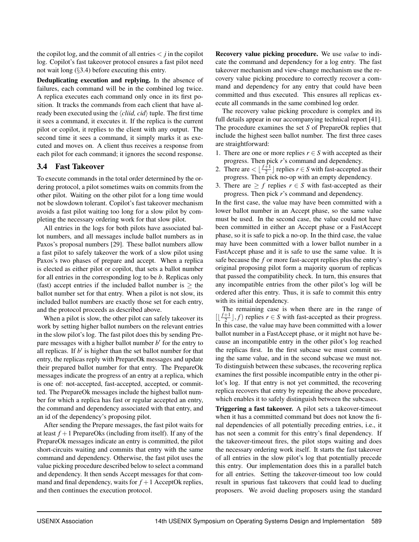the copilot log, and the commit of all entries  $\langle i \rangle$  in the copilot log. Copilot's fast takeover protocol ensures a fast pilot need not wait long (§[3.4\)](#page-7-0) before executing this entry.

<span id="page-7-1"></span>Deduplicating execution and replying. In the absence of failures, each command will be in the combined log twice. A replica executes each command only once in its first position. It tracks the commands from each client that have already been executed using the  $\langle child, cid \rangle$  tuple. The first time it sees a command, it executes it. If the replica is the current pilot or copilot, it replies to the client with any output. The second time it sees a command, it simply marks it as executed and moves on. A client thus receives a response from each pilot for each command; it ignores the second response.

#### <span id="page-7-0"></span>3.4 Fast Takeover

To execute commands in the total order determined by the ordering protocol, a pilot sometimes waits on commits from the other pilot. Waiting on the other pilot for a long time would not be slowdown tolerant. Copilot's fast takeover mechanism avoids a fast pilot waiting too long for a slow pilot by completing the necessary ordering work for that slow pilot.

All entries in the logs for both pilots have associated ballot numbers, and all messages include ballot numbers as in Paxos's proposal numbers [\[29\]](#page-16-8). These ballot numbers allow a fast pilot to safely takeover the work of a slow pilot using Paxos's two phases of prepare and accept. When a replica is elected as either pilot or copilot, that sets a ballot number for all entries in the corresponding log to be *b*. Replicas only (fast) accept entries if the included ballot number is  $\geq$  the ballot number set for that entry. When a pilot is not slow, its included ballot numbers are exactly those set for each entry, and the protocol proceeds as described above.

When a pilot is slow, the other pilot can safely takeover its work by setting higher ballot numbers on the relevant entries in the slow pilot's log. The fast pilot does this by sending Prepare messages with a higher ballot number *b*<sup>'</sup> for the entry to all replicas. If  $b'$  is higher than the set ballot number for that entry, the replicas reply with PrepareOk messages and update their prepared ballot number for that entry. The PrepareOk messages indicate the progress of an entry at a replica, which is one of: not-accepted, fast-accepted, accepted, or committed. The PrepareOk messages include the highest ballot number for which a replica has fast or regular accepted an entry, the command and dependency associated with that entry, and an id of the dependency's proposing pilot.

After sending the Prepare messages, the fast pilot waits for at least  $f + 1$  PrepareOks (including from itself). If any of the PrepareOk messages indicate an entry is committed, the pilot short-circuits waiting and commits that entry with the same command and dependency. Otherwise, the fast pilot uses the value picking procedure described below to select a command and dependency. It then sends Accept messages for that command and final dependency, waits for  $f + 1$  AcceptOk replies, and then continues the execution protocol.

Recovery value picking procedure. We use *value* to indicate the command and dependency for a log entry. The fast takeover mechanism and view-change mechanism use the recovery value picking procedure to correctly recover a command and dependency for any entry that could have been committed and thus executed. This ensures all replicas execute all commands in the same combined log order.

The recovery value picking procedure is complex and its full details appear in our accompanying technical report [\[41\]](#page-16-12). The procedure examines the set *S* of PrepareOk replies that include the highest seen ballot number. The first three cases are straightforward:

- 1. There are one or more replies  $r \in S$  with accepted as their progress. Then pick *r*'s command and dependency.
- 2. There are  $\leq \lfloor \frac{f+1}{2} \rfloor$  $\frac{+1}{2}$  replies *r*  $\in$  *S* with fast-accepted as their progress. Then pick no-op with an empty dependency.
- 3. There are  $\geq f$  replies  $r \in S$  with fast-accepted as their progress. Then pick *r*'s command and dependency.

In the first case, the value may have been committed with a lower ballot number in an Accept phase, so the same value must be used. In the second case, the value could not have been committed in either an Accept phase or a FastAccept phase, so it is safe to pick a no-op. In the third case, the value may have been committed with a lower ballot number in a FastAccept phase and it is safe to use the same value. It is safe because the *f* or more fast-accept replies plus the entry's original proposing pilot form a majority quorum of replicas that passed the compatibility check. In turn, this ensures that any incompatible entries from the other pilot's log will be ordered after this entry. Thus, it is safe to commit this entry with its initial dependency.

The remaining case is when there are in the range of  $\lceil \frac{f+1}{2} \rceil$  $\frac{+1}{2}$ , *f*) replies *r*  $\in$  *S* with fast-accepted as their progress. In this case, the value may have been committed with a lower ballot number in a FastAccept phase, or it might not have because an incompatible entry in the other pilot's log reached the replicas first. In the first subcase we must commit using the same value, and in the second subcase we must not. To distinguish between these subcases, the recovering replica examines the first possible incompatible entry in the other pilot's log. If that entry is not yet committed, the recovering replica recovers that entry by repeating the above procedure, which enables it to safely distinguish between the subcases.

Triggering a fast takeover. A pilot sets a takeover-timeout when it has a committed command but does not know the final dependencies of all potentially preceding entries, i.e., it has not seen a commit for this entry's final dependency. If the takeover-timeout fires, the pilot stops waiting and does the necessary ordering work itself. It starts the fast takeover of all entries in the slow pilot's log that potentially precede this entry. Our implementation does this in a parallel batch for all entries. Setting the takeover-timeout too low could result in spurious fast takeovers that could lead to dueling proposers. We avoid dueling proposers using the standard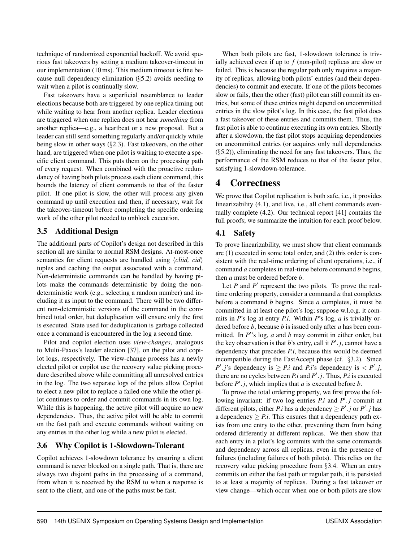technique of randomized exponential backoff. We avoid spurious fast takeovers by setting a medium takeover-timeout in our implementation (10 ms). This medium timeout is fine because null dependency elimination (§[5.2\)](#page-9-1) avoids needing to wait when a pilot is continually slow.

Fast takeovers have a superficial resemblance to leader elections because both are triggered by one replica timing out while waiting to hear from another replica. Leader elections are triggered when one replica does not hear *something* from another replica—e.g., a heartbeat or a new proposal. But a leader can still send something regularly and/or quickly while being slow in other ways (§[2.3\)](#page-4-1). Fast takeovers, on the other hand, are triggered when one pilot is waiting to execute a specific client command. This puts them on the processing path of every request. When combined with the proactive redundancy of having both pilots process each client command, this bounds the latency of client commands to that of the faster pilot. If one pilot is slow, the other will process any given command up until execution and then, if necessary, wait for the takeover-timeout before completing the specific ordering work of the other pilot needed to unblock execution.

## <span id="page-8-0"></span>3.5 Additional Design

The additional parts of Copilot's design not described in this section all are similar to normal RSM designs. At-most-once semantics for client requests are handled using  $\langle child, c\, \rangle$ tuples and caching the output associated with a command. Non-deterministic commands can be handled by having pilots make the commands deterministic by doing the nondeterministic work (e.g., selecting a random number) and including it as input to the command. There will be two different non-deterministic versions of the command in the combined total order, but deduplication will ensure only the first is executed. State used for deduplication is garbage collected once a command is encountered in the log a second time.

Pilot and copilot election uses *view-changes*, analogous to Multi-Paxos's leader election [\[37\]](#page-16-7), on the pilot and copilot logs, respectively. The view-change process has a newly elected pilot or copilot use the recovery value picking procedure described above while committing all unresolved entries in the log. The two separate logs of the pilots allow Copilot to elect a new pilot to replace a failed one while the other pilot continues to order and commit commands in its own log. While this is happening, the active pilot will acquire no new dependencies. Thus, the active pilot will be able to commit on the fast path and execute commands without waiting on any entries in the other log while a new pilot is elected.

## 3.6 Why Copilot is 1-Slowdown-Tolerant

Copilot achieves 1-slowdown tolerance by ensuring a client command is never blocked on a single path. That is, there are always two disjoint paths in the processing of a command, from when it is received by the RSM to when a response is sent to the client, and one of the paths must be fast.

When both pilots are fast, 1-slowdown tolerance is trivially achieved even if up to  $f$  (non-pilot) replicas are slow or failed. This is because the regular path only requires a majority of replicas, allowing both pilots' entries (and their dependencies) to commit and execute. If one of the pilots becomes slow or fails, then the other (fast) pilot can still commit its entries, but some of these entries might depend on uncommitted entries in the slow pilot's log. In this case, the fast pilot does a fast takeover of these entries and commits them. Thus, the fast pilot is able to continue executing its own entries. Shortly after a slowdown, the fast pilot stops acquiring dependencies on uncommitted entries (or acquires only null dependencies (§[5.2\)](#page-9-1)), eliminating the need for any fast takeovers. Thus, the performance of the RSM reduces to that of the faster pilot, satisfying 1-slowdown-tolerance.

# 4 Correctness

We prove that Copilot replication is both safe, i.e., it provides linearizability [\(4.1\)](#page-8-1), and live, i.e., all client commands eventually complete [\(4.2\)](#page-9-2). Our technical report [\[41\]](#page-16-12) contains the full proofs; we summarize the intuition for each proof below.

## <span id="page-8-1"></span>4.1 Safety

To prove linearizability, we must show that client commands are (1) executed in some total order, and (2) this order is consistent with the real-time ordering of client operations, i.e., if command *a* completes in real-time before command *b* begins, then *a* must be ordered before *b*.

Let  $P$  and  $P'$  represent the two pilots. To prove the realtime ordering property, consider a command *a* that completes before a command *b* begins. Since *a* completes, it must be committed in at least one pilot's log; suppose w.l.o.g. it commits in *P*'s log at entry *P*.*i*. Within *P*'s log, *a* is trivially ordered before *b*, because *b* is issued only after *a* has been committed. In  $P'$ 's log,  $a$  and  $b$  may commit in either order, but the key observation is that *b*'s entry, call it  $P' \cdot j$ , cannot have a dependency that precedes *P*.*i*, because this would be deemed incompatible during the FastAccept phase (cf. §[3.2\)](#page-4-2). Since  $P'$ .*j*'s dependency is  $\geq P$ .*i* and *P*.*i*'s dependency is  $\lt P'$ .*j*, there are no cycles between *P.i* and  $P' \cdot j$ . Thus, *P.i* is executed before  $P' \cdot j$ , which implies that *a* is executed before *b*.

To prove the total ordering property, we first prove the following invariant: if two log entries  $P$ .*i* and  $P'$ .*j* commit at different pilots, either *P*.*i* has a dependency  $\geq P' \cdot j$  or *P'*  $\cdot j$  has a dependency  $\geq P.i$ . This ensures that a dependency path exists from one entry to the other, preventing them from being ordered differently at different replicas. We then show that each entry in a pilot's log commits with the same commands and dependency across all replicas, even in the presence of failures (including failures of both pilots). This relies on the recovery value picking procedure from §[3.4.](#page-7-0) When an entry commits on either the fast path or regular path, it is persisted to at least a majority of replicas. During a fast takeover or view change—which occur when one or both pilots are slow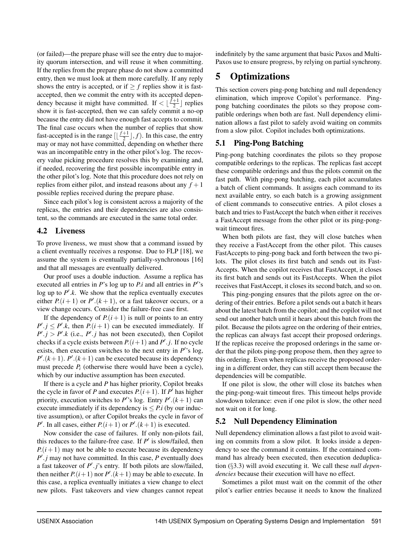(or failed)—the prepare phase will see the entry due to majority quorum intersection, and will reuse it when committing. If the replies from the prepare phase do not show a committed entry, then we must look at them more carefully. If any reply shows the entry is accepted, or if  $\geq f$  replies show it is fastaccepted, then we commit the entry with its accepted dependency because it might have committed. If  $\lt \lfloor \frac{\hat{f}+1}{2} \rfloor$  $\frac{+1}{2}$  replies show it is fast-accepted, then we can safely commit a no-op because the entry did not have enough fast accepts to commit. The final case occurs when the number of replies that show fast-accepted is in the range  $\left[\frac{f+1}{2}\right]$  $\frac{+1}{2}$ , *f*). In this case, the entry may or may not have committed, depending on whether there was an incompatible entry in the other pilot's log. The recovery value picking procedure resolves this by examining and, if needed, recovering the first possible incompatible entry in the other pilot's log. Note that this procedure does not rely on replies from either pilot, and instead reasons about any  $f + 1$ possible replies received during the prepare phase.

Since each pilot's log is consistent across a majority of the replicas, the entries and their dependencies are also consistent, so the commands are executed in the same total order.

#### <span id="page-9-2"></span>4.2 Liveness

To prove liveness, we must show that a command issued by a client eventually receives a response. Due to FLP [\[18\]](#page-15-19), we assume the system is eventually partially-synchronous [\[16\]](#page-15-20) and that all messages are eventually delivered.

Our proof uses a double induction. Assume a replica has executed all entries in  $P$ 's log up to  $P$ .*i* and all entries in  $P$ ''s log up to  $P'$ .k. We show that the replica eventually executes either  $P((i + 1)$  or  $P'((k + 1))$ , or a fast takeover occurs, or a view change occurs. Consider the failure-free case first.

If the dependency of  $P(i+1)$  is null or points to an entry  $P'$ . *j*  $\leq P'$ . *k*, then *P*. (*i* + 1) can be executed immediately. If  $P'.j > P'.k$  (i.e., *P'.j* has not been executed), then Copilot checks if a cycle exists between  $P(i+1)$  and  $P' \cdot j$ . If no cycle exists, then execution switches to the next entry in  $P'$ 's log,  $P'(k+1)$ .  $P'(k+1)$  can be executed because its dependency must precede  $P_i$  (otherwise there would have been a cycle), which by our inductive assumption has been executed.

If there is a cycle and *P* has higher priority, Copilot breaks the cycle in favor of *P* and executes  $P(i+1)$ . If  $P'$  has higher priority, execution switches to P''s log. Entry  $P'(k+1)$  can execute immediately if its dependency is  $\leq P_i$  (by our inductive assumption), or after Copilot breaks the cycle in favor of *P*<sup> $\prime$ </sup>. In all cases, either *P*.( $i+1$ ) or *P*<sup> $\prime$ </sup>.( $k+1$ ) is executed.

Now consider the case of failures. If only non-pilots fail, this reduces to the failure-free case. If  $P'$  is slow/failed, then  $P(i+1)$  may not be able to execute because its dependency  $P'$ . *j* may not have committed. In this case, *P* eventually does a fast takeover of P'.j's entry. If both pilots are slow/failed, then neither  $P((i+1)$  nor  $P'((k+1)$  may be able to execute. In this case, a replica eventually initiates a view change to elect new pilots. Fast takeovers and view changes cannot repeat indefinitely by the same argument that basic Paxos and Multi-Paxos use to ensure progress, by relying on partial synchrony.

# <span id="page-9-0"></span>5 Optimizations

This section covers ping-pong batching and null dependency elimination, which improve Copilot's performance. Pingpong batching coordinates the pilots so they propose compatible orderings when both are fast. Null dependency elimination allows a fast pilot to safely avoid waiting on commits from a slow pilot. Copilot includes both optimizations.

## 5.1 Ping-Pong Batching

Ping-pong batching coordinates the pilots so they propose compatible orderings to the replicas. The replicas fast accept these compatible orderings and thus the pilots commit on the fast path. With ping-pong batching, each pilot accumulates a batch of client commands. It assigns each command to its next available entry, so each batch is a growing assignment of client commands to consecutive entries. A pilot closes a batch and tries to FastAccept the batch when either it receives a FastAccept message from the other pilot or its ping-pongwait timeout fires.

When both pilots are fast, they will close batches when they receive a FastAccept from the other pilot. This causes FastAccepts to ping-pong back and forth between the two pilots. The pilot closes its first batch and sends out its Fast-Accepts. When the copilot receives that FastAccept, it closes its first batch and sends out its FastAccepts. When the pilot receives that FastAccept, it closes its second batch, and so on.

This ping-ponging ensures that the pilots agree on the ordering of their entries. Before a pilot sends out a batch it hears about the latest batch from the copilot; and the copilot will not send out another batch until it hears about this batch from the pilot. Because the pilots agree on the ordering of their entries, the replicas can always fast accept their proposed orderings. If the replicas receive the proposed orderings in the same order that the pilots ping-pong propose them, then they agree to this ordering. Even when replicas receive the proposed ordering in a different order, they can still accept them because the dependencies will be compatible.

If one pilot is slow, the other will close its batches when the ping-pong-wait timeout fires. This timeout helps provide slowdown tolerance: even if one pilot is slow, the other need not wait on it for long.

## <span id="page-9-1"></span>5.2 Null Dependency Elimination

Null dependency elimination allows a fast pilot to avoid waiting on commits from a slow pilot. It looks inside a dependency to see the command it contains. If the contained command has already been executed, then execution deduplication (§[3.3\)](#page-7-1) will avoid executing it. We call these *null dependencies* because their execution will have no effect.

Sometimes a pilot must wait on the commit of the other pilot's earlier entries because it needs to know the finalized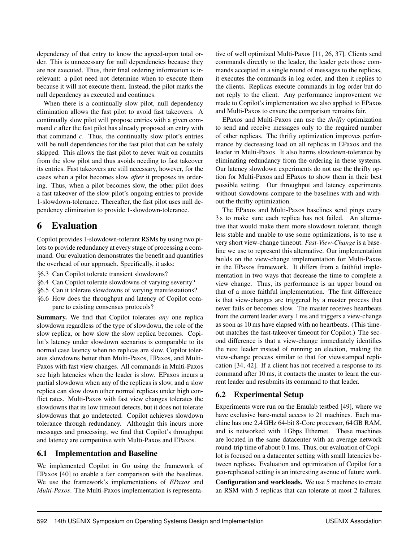dependency of that entry to know the agreed-upon total order. This is unnecessary for null dependencies because they are not executed. Thus, their final ordering information is irrelevant: a pilot need not determine when to execute them because it will not execute them. Instead, the pilot marks the null dependency as executed and continues.

When there is a continually slow pilot, null dependency elimination allows the fast pilot to avoid fast takeovers. A continually slow pilot will propose entries with a given command *c* after the fast pilot has already proposed an entry with that command *c*. Thus, the continually slow pilot's entries will be null dependencies for the fast pilot that can be safely skipped. This allows the fast pilot to never wait on commits from the slow pilot and thus avoids needing to fast takeover its entries. Fast takeovers are still necessary, however, for the cases when a pilot becomes slow *after* it proposes its ordering. Thus, when a pilot becomes slow, the other pilot does a fast takeover of the slow pilot's ongoing entries to provide 1-slowdown-tolerance. Thereafter, the fast pilot uses null dependency elimination to provide 1-slowdown-tolerance.

## 6 Evaluation

Copilot provides 1-slowdown-tolerant RSMs by using two pilots to provide redundancy at every stage of processing a command. Our evaluation demonstrates the benefit and quantifies the overhead of our approach. Specifically, it asks:

- §[6.3](#page-11-0) Can Copilot tolerate transient slowdowns?
- §[6.4](#page-12-0) Can Copilot tolerate slowdowns of varying severity?
- §[6.5](#page-12-1) Can it tolerate slowdowns of varying manifestations?
- §[6.6](#page-13-0) How does the throughput and latency of Copilot compare to existing consensus protocols?

Summary. We find that Copilot tolerates *any* one replica slowdown regardless of the type of slowdown, the role of the slow replica, or how slow the slow replica becomes. Copilot's latency under slowdown scenarios is comparable to its normal case latency when no replicas are slow. Copilot tolerates slowdowns better than Multi-Paxos, EPaxos, and Multi-Paxos with fast view changes. All commands in Multi-Paxos see high latencies when the leader is slow. EPaxos incurs a partial slowdown when any of the replicas is slow, and a slow replica can slow down other normal replicas under high conflict rates. Multi-Paxos with fast view changes tolerates the slowdowns that its low timeout detects, but it does not tolerate slowdowns that go undetected. Copilot achieves slowdown tolerance through redundancy. Althought this incurs more messages and processing, we find that Copilot's throughput and latency are competitive with Multi-Paxos and EPaxos.

#### 6.1 Implementation and Baseline

We implemented Copilot in Go using the framework of EPaxos [\[40\]](#page-16-6) to enable a fair comparison with the baselines. We use the framework's implementations of *EPaxos* and *Multi-Paxos*. The Multi-Paxos implementation is representative of well optimized Multi-Paxos [\[11,](#page-15-21) [26,](#page-15-16) [37\]](#page-16-7). Clients send commands directly to the leader, the leader gets those commands accepted in a single round of messages to the replicas, it executes the commands in log order, and then it replies to the clients. Replicas execute commands in log order but do not reply to the client. Any performance improvement we made to Copilot's implementation we also applied to EPaxos and Multi-Paxos to ensure the comparison remains fair.

EPaxos and Multi-Paxos can use the *thrifty* optimization to send and receive messages only to the required number of other replicas. The thrifty optimization improves performance by decreasing load on all replicas in EPaxos and the leader in Multi-Paxos. It also harms slowdown-tolerance by eliminating redundancy from the ordering in these systems. Our latency slowdown experiments do not use the thrifty option for Multi-Paxos and EPaxos to show them in their best possible setting. Our throughput and latency experiments without slowdowns compare to the baselines with and without the thrifty optimization.

The EPaxos and Multi-Paxos baselines send pings every 3 s to make sure each replica has not failed. An alternative that would make them more slowdown tolerant, though less stable and unable to use some optimizations, is to use a very short view-change timeout. *Fast-View-Change* is a baseline we use to represent this alternative. Our implementation builds on the view-change implementation for Multi-Paxos in the EPaxos framework. It differs from a faithful implementation in two ways that decrease the time to complete a view change. Thus, its performance is an upper bound on that of a more faithful implementation. The first difference is that view-changes are triggered by a master process that never fails or becomes slow. The master receives heartbeats from the current leader every 1 ms and triggers a view-change as soon as 10 ms have elapsed with no heartbeats. (This timeout matches the fast-takeover timeout for Copilot.) The second difference is that a view-change immediately identifies the next leader instead of running an election, making the view-change process similar to that for viewstamped replication [\[34,](#page-16-13) [42\]](#page-16-14). If a client has not received a response to its command after 10 ms, it contacts the master to learn the current leader and resubmits its command to that leader.

## 6.2 Experimental Setup

Experiments were run on the Emulab testbed [\[49\]](#page-16-15), where we have exclusive bare-metal access to 21 machines. Each machine has one 2.4GHz 64-bit 8-Core processor, 64GB RAM, and is networked with 1Gbps Ethernet. These machines are located in the same datacenter with an average network round-trip time of about 0.1ms. Thus, our evaluation of Copilot is focused on a datacenter setting with small latencies between replicas. Evaluation and optimization of Copilot for a geo-replicated setting is an interesting avenue of future work.

Configuration and workloads. We use 5 machines to create an RSM with 5 replicas that can tolerate at most 2 failures.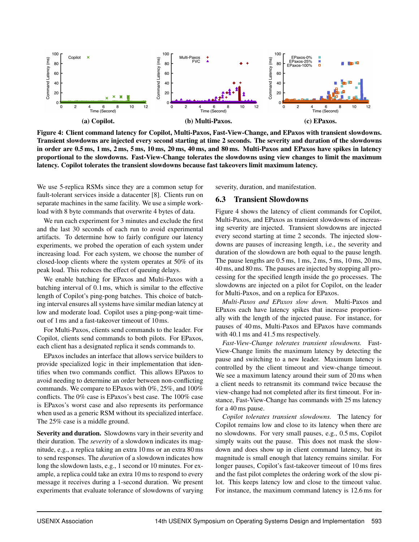<span id="page-11-1"></span>

Figure 4: Client command latency for Copilot, Multi-Paxos, Fast-View-Change, and EPaxos with transient slowdowns. Transient slowdowns are injected every second starting at time 2 seconds. The severity and duration of the slowdowns in order are 0.5 ms, 1 ms, 2 ms, 5 ms, 10 ms, 20 ms, 40 ms, and 80 ms. Multi-Paxos and EPaxos have spikes in latency proportional to the slowdowns. Fast-View-Change tolerates the slowdowns using view changes to limit the maximum latency. Copilot tolerates the transient slowdowns because fast takeovers limit maximum latency.

We use 5-replica RSMs since they are a common setup for fault-tolerant services inside a datacenter [\[8\]](#page-15-17). Clients run on separate machines in the same facility. We use a simple workload with 8 byte commands that overwrite 4 bytes of data.

We run each experiment for 3 minutes and exclude the first and the last 30 seconds of each run to avoid experimental artifacts. To determine how to fairly configure our latency experiments, we probed the operation of each system under increasing load. For each system, we choose the number of closed-loop clients where the system operates at 50% of its peak load. This reduces the effect of queuing delays.

We enable batching for EPaxos and Multi-Paxos with a batching interval of 0.1ms, which is similar to the effective length of Copilot's ping-pong batches. This choice of batching interval ensures all systems have similar median latency at low and moderate load. Copilot uses a ping-pong-wait timeout of 1ms and a fast-takeover timeout of 10ms.

For Multi-Paxos, clients send commands to the leader. For Copilot, clients send commands to both pilots. For EPaxos, each client has a designated replica it sends commands to.

EPaxos includes an interface that allows service builders to provide specialized logic in their implementation that identifies when two commands conflict. This allows EPaxos to avoid needing to determine an order between non-conflicting commands. We compare to EPaxos with 0%, 25%, and 100% conflicts. The 0% case is EPaxos's best case. The 100% case is EPaxos's worst case and also represents its performance when used as a generic RSM without its specialized interface. The 25% case is a middle ground.

Severity and duration. Slowdowns vary in their severity and their duration. The *severity* of a slowdown indicates its magnitude, e.g., a replica taking an extra 10 ms or an extra 80 ms to send responses. The *duration* of a slowdown indicates how long the slowdown lasts, e.g., 1 second or 10 minutes. For example, a replica could take an extra 10 ms to respond to every message it receives during a 1-second duration. We present experiments that evaluate tolerance of slowdowns of varying severity, duration, and manifestation.

#### <span id="page-11-0"></span>6.3 Transient Slowdowns

Figure [4](#page-11-1) shows the latency of client commands for Copilot, Multi-Paxos, and EPaxos as transient slowdowns of increasing severity are injected. Transient slowdowns are injected every second starting at time 2 seconds. The injected slowdowns are pauses of increasing length, i.e., the severity and duration of the slowdown are both equal to the pause length. The pause lengths are  $0.5$  ms,  $1$  ms,  $2$  ms,  $5$  ms,  $10$  ms,  $20$  ms, 40 ms, and 80 ms. The pauses are injected by stopping all processing for the specified length inside the go processes. The slowdowns are injected on a pilot for Copilot, on the leader for Multi-Paxos, and on a replica for EPaxos.

*Multi-Paxos and EPaxos slow down.* Multi-Paxos and EPaxos each have latency spikes that increase proportionally with the length of the injected pause. For instance, for pauses of 40 ms, Multi-Paxos and EPaxos have commands with 40.1 ms and 41.5 ms respectively.

*Fast-View-Change tolerates transient slowdowns.* Fast-View-Change limits the maximum latency by detecting the pause and switching to a new leader. Maximum latency is controlled by the client timeout and view-change timeout. We see a maximum latency around their sum of 20 ms when a client needs to retransmit its command twice because the view-change had not completed after its first timeout. For instance, Fast-View-Change has commands with 25 ms latency for a 40 ms pause.

*Copilot tolerates transient slowdowns.* The latency for Copilot remains low and close to its latency when there are no slowdowns. For very small pauses, e.g., 0.5 ms, Copilot simply waits out the pause. This does not mask the slowdown and does show up in client command latency, but its magnitude is small enough that latency remains similar. For longer pauses, Copilot's fast-takeover timeout of 10 ms fires and the fast pilot completes the ordering work of the slow pilot. This keeps latency low and close to the timeout value. For instance, the maximum command latency is 12.6 ms for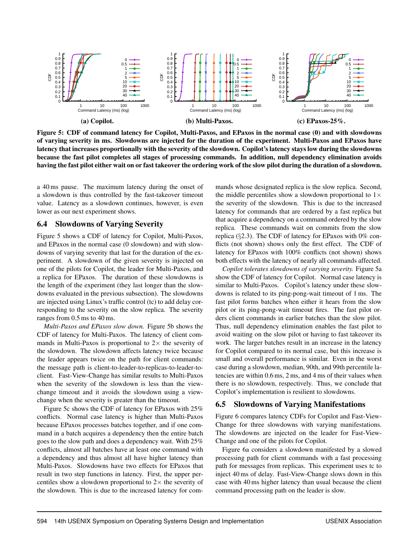<span id="page-12-2"></span>

Figure 5: CDF of command latency for Copilot, Multi-Paxos, and EPaxos in the normal case (0) and with slowdowns of varying severity in ms. Slowdowns are injected for the duration of the experiment. Multi-Paxos and EPaxos have latency that increases proportionally with the severity of the slowdown. Copilot's latency stays low during the slowdowns because the fast pilot completes all stages of processing commands. In addition, null dependency elimination avoids having the fast pilot either wait on or fast takeover the ordering work of the slow pilot during the duration of a slowdown.

a 40 ms pause. The maximum latency during the onset of a slowdown is thus controlled by the fast-takeover timeout value. Latency as a slowdown continues, however, is even lower as our next experiment shows.

#### <span id="page-12-0"></span>6.4 Slowdowns of Varying Severity

Figure [5](#page-12-2) shows a CDF of latency for Copilot, Multi-Paxos, and EPaxos in the normal case (0 slowdown) and with slowdowns of varying severity that last for the duration of the experiment. A slowdown of the given severity is injected on one of the pilots for Copilot, the leader for Multi-Paxos, and a replica for EPaxos. The duration of these slowdowns is the length of the experiment (they last longer than the slowdowns evaluated in the previous subsection). The slowdowns are injected using Linux's traffic control (tc) to add delay corresponding to the severity on the slow replica. The severity ranges from 0.5 ms to 40 ms.

*Multi-Paxos and EPaxos slow down.* Figure [5b](#page-12-2) shows the CDF of latency for Multi-Paxos. The latency of client commands in Multi-Paxos is proportional to  $2\times$  the severity of the slowdown. The slowdown affects latency twice because the leader appears twice on the path for client commands: the message path is client-to-leader-to-replicas-to-leader-toclient. Fast-View-Change has similar results to Multi-Paxos when the severity of the slowdown is less than the viewchange timeout and it avoids the slowdown using a viewchange when the severity is greater than the timeout.

Figure [5c](#page-12-2) shows the CDF of latency for EPaxos with 25% conflicts. Normal case latency is higher than Multi-Paxos because EPaxos processes batches together, and if one command in a batch acquires a dependency then the entire batch goes to the slow path and does a dependency wait. With 25% conflicts, almost all batches have at least one command with a dependency and thus almost all have higher latency than Multi-Paxos. Slowdowns have two effects for EPaxos that result in two step functions in latency. First, the upper percentiles show a slowdown proportional to  $2\times$  the severity of the slowdown. This is due to the increased latency for commands whose designated replica is the slow replica. Second, the middle percentiles show a slowdown proportional to  $1\times$ the severity of the slowdown. This is due to the increased latency for commands that are ordered by a fast replica but that acquire a dependency on a command ordered by the slow replica. These commands wait on commits from the slow replica (§[2.3\)](#page-3-1). The CDF of latency for EPaxos with 0% conflicts (not shown) shows only the first effect. The CDF of latency for EPaxos with 100% conflicts (not shown) shows both effects with the latency of nearly all commands affected.

*Copilot tolerates slowdowns of varying severity.* Figure [5a](#page-12-2) show the CDF of latency for Copilot. Normal case latency is similar to Multi-Paxos. Copilot's latency under these slowdowns is related to its ping-pong-wait timeout of 1 ms. The fast pilot forms batches when either it hears from the slow pilot or its ping-pong-wait timeout fires. The fast pilot orders client commands in earlier batches than the slow pilot. Thus, null dependency elimination enables the fast pilot to avoid waiting on the slow pilot or having to fast takeover its work. The larger batches result in an increase in the latency for Copilot compared to its normal case, but this increase is small and overall performance is similar. Even in the worst case during a slowdown, median, 90th, and 99th percentile latencies are within 0.6 ms, 2 ms, and 4 ms of their values when there is no slowdown, respectively. Thus, we conclude that Copilot's implementation is resilient to slowdowns.

#### <span id="page-12-1"></span>6.5 Slowdowns of Varying Manifestations

Figure [6](#page-13-1) compares latency CDFs for Copilot and Fast-View-Change for three slowdowns with varying manifestations. The slowdowns are injected on the leader for Fast-View-Change and one of the pilots for Copilot.

Figure [6a](#page-13-1) considers a slowdown manifested by a slowed processing path for client commands with a fast processing path for messages from replicas. This experiment uses tc to inject 40 ms of delay. Fast-View-Change slows down in this case with 40 ms higher latency than usual because the client command processing path on the leader is slow.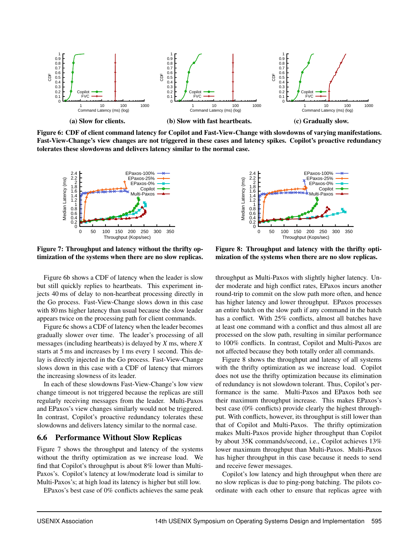<span id="page-13-1"></span>

Figure 6: CDF of client command latency for Copilot and Fast-View-Change with slowdowns of varying manifestations. Fast-View-Change's view changes are not triggered in these cases and latency spikes. Copilot's proactive redundancy tolerates these slowdowns and delivers latency similar to the normal case.

<span id="page-13-2"></span>

Figure 7: Throughput and latency without the thrifty optimization of the systems when there are no slow replicas.

Figure [6b](#page-13-1) shows a CDF of latency when the leader is slow but still quickly replies to heartbeats. This experiment injects 40 ms of delay to non-heartbeat processing directly in the Go process. Fast-View-Change slows down in this case with 80 ms higher latency than usual because the slow leader appears twice on the processing path for client commands.

Figure [6c](#page-13-1) shows a CDF of latency when the leader becomes gradually slower over time. The leader's processing of all messages (including heartbeats) is delayed by *X* ms, where *X* starts at 5 ms and increases by 1 ms every 1 second. This delay is directly injected in the Go process. Fast-View-Change slows down in this case with a CDF of latency that mirrors the increasing slowness of its leader.

In each of these slowdowns Fast-View-Change's low view change timeout is not triggered because the replicas are still regularly receiving messages from the leader. Multi-Paxos and EPaxos's view changes similarly would not be triggered. In contrast, Copilot's proactive redundancy tolerates these slowdowns and delivers latency similar to the normal case.

#### <span id="page-13-0"></span>6.6 Performance Without Slow Replicas

Figure [7](#page-13-2) shows the throughput and latency of the systems without the thrifty optimization as we increase load. We find that Copilot's throughput is about 8% lower than Multi-Paxos's. Copilot's latency at low/moderate load is similar to Multi-Paxos's; at high load its latency is higher but still low.

EPaxos's best case of 0% conflicts achieves the same peak

<span id="page-13-3"></span>

Figure 8: Throughput and latency with the thrifty optimization of the systems when there are no slow replicas.

throughput as Multi-Paxos with slightly higher latency. Under moderate and high conflict rates, EPaxos incurs another round-trip to commit on the slow path more often, and hence has higher latency and lower throughput. EPaxos processes an entire batch on the slow path if any command in the batch has a conflict. With 25% conflicts, almost all batches have at least one command with a conflict and thus almost all are processed on the slow path, resulting in similar performance to 100% conflicts. In contrast, Copilot and Multi-Paxos are not affected because they both totally order all commands.

Figure [8](#page-13-3) shows the throughput and latency of all systems with the thrifty optimization as we increase load. Copilot does not use the thrifty optimization because its elimination of redundancy is not slowdown tolerant. Thus, Copilot's performance is the same. Multi-Paxos and EPaxos both see their maximum throughput increase. This makes EPaxos's best case (0% conflicts) provide clearly the highest throughput. With conflicts, however, its throughput is still lower than that of Copilot and Multi-Paxos. The thrifty optimization makes Multi-Paxos provide higher throughput than Copilot by about 35K commands/second, i.e., Copilot achieves 13% lower maximum throughput than Multi-Paxos. Multi-Paxos has higher throughput in this case because it needs to send and receive fewer messages.

Copilot's low latency and high throughput when there are no slow replicas is due to ping-pong batching. The pilots coordinate with each other to ensure that replicas agree with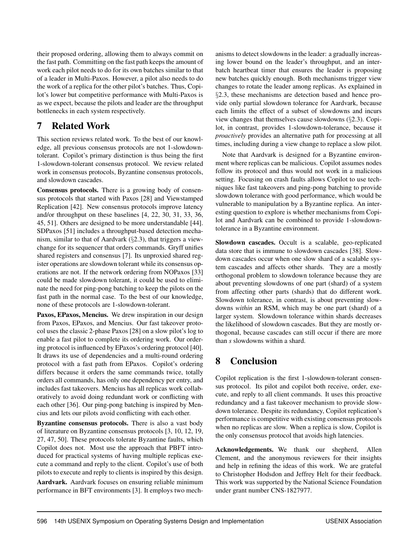their proposed ordering, allowing them to always commit on the fast path. Committing on the fast path keeps the amount of work each pilot needs to do for its own batches similar to that of a leader in Multi-Paxos. However, a pilot also needs to do the work of a replica for the other pilot's batches. Thus, Copilot's lower but competitive performance with Multi-Paxos is as we expect, because the pilots and leader are the throughput bottlenecks in each system respectively.

# 7 Related Work

This section reviews related work. To the best of our knowledge, all previous consensus protocols are not 1-slowdowntolerant. Copilot's primary distinction is thus being the first 1-slowdown-tolerant consensus protocol. We review related work in consensus protocols, Byzantine consensus protocols, and slowdown cascades.

Consensus protocols. There is a growing body of consensus protocols that started with Paxos [\[28\]](#page-15-15) and Viewstamped Replication [\[42\]](#page-16-14). New consensus protocols improve latency and/or throughput on these baselines [\[4,](#page-15-22) [22,](#page-15-23) [30,](#page-16-16) [31,](#page-16-17) [33,](#page-16-18) [36,](#page-16-5) [45,](#page-16-19) [51\]](#page-16-9). Others are designed to be more understandable [\[44\]](#page-16-11). SDPaxos [\[51\]](#page-16-9) includes a throughput-based detection mechanism, similar to that of Aardvark (§[2.3\)](#page-4-1), that triggers a viewchange for its sequencer that orders commands. Gryff unifies shared registers and consensus [\[7\]](#page-15-24). Its unproxied shared register operations are slowdown tolerant while its consensus operations are not. If the network ordering from NOPaxos [\[33\]](#page-16-18) could be made slowdown tolerant, it could be used to eliminate the need for ping-pong batching to keep the pilots on the fast path in the normal case. To the best of our knowledge, none of these protocols are 1-slowdown-tolerant.

Paxos, EPaxos, Mencius. We drew inspiration in our design from Paxos, EPaxos, and Mencius. Our fast takeover protocol uses the classic 2-phase Paxos [\[28\]](#page-15-15) on a slow pilot's log to enable a fast pilot to complete its ordering work. Our ordering protocol is influenced by EPaxos's ordering protocol [\[40\]](#page-16-6). It draws its use of dependencies and a multi-round ordering protocol with a fast path from EPaxos. Copilot's ordering differs because it orders the same commands twice, totally orders all commands, has only one dependency per entry, and includes fast takeovers. Mencius has all replicas work collaboratively to avoid doing redundant work or conflicting with each other [\[36\]](#page-16-5). Our ping-pong batching is inspired by Mencius and lets our pilots avoid conflicting with each other.

Byzantine consensus protocols. There is also a vast body of literature on Byzantine consensus protocols [\[3,](#page-15-11) [10,](#page-15-14) [12,](#page-15-25) [19,](#page-15-26) [27,](#page-15-27) [47,](#page-16-20) [50\]](#page-16-21). These protocols tolerate Byzantine faults, which Copilot does not. Most use the approach that PBFT introduced for practical systems of having multiple replicas execute a command and reply to the client. Copilot's use of both pilots to execute and reply to clients is inspired by this design.

Aardvark. Aardvark focuses on ensuring reliable minimum performance in BFT environments [\[3\]](#page-15-11). It employs two mechanisms to detect slowdowns in the leader: a gradually increasing lower bound on the leader's throughput, and an interbatch heartbeat timer that ensures the leader is proposing new batches quickly enough. Both mechanisms trigger view changes to rotate the leader among replicas. As explained in §[2.3,](#page-4-1) these mechanisms are detection based and hence provide only partial slowdown tolerance for Aardvark, because each limits the effect of a subset of slowdowns and incurs view changes that themselves cause slowdowns (§[2.3\)](#page-4-1). Copilot, in contrast, provides 1-slowdown-tolerance, because it *proactively* provides an alternative path for processing at all times, including during a view change to replace a slow pilot.

Note that Aardvark is designed for a Byzantine environment where replicas can be malicious. Copilot assumes nodes follow its protocol and thus would not work in a malicious setting. Focusing on crash faults allows Copilot to use techniques like fast takeovers and ping-pong batching to provide slowdown tolerance with good performance, which would be vulnerable to manipulation by a Byzantine replica. An interesting question to explore is whether mechanisms from Copilot and Aardvark can be combined to provide 1-slowdowntolerance in a Byzantine environment.

Slowdown cascades. Occult is a scalable, geo-replicated data store that is immune to slowdown cascades [\[38\]](#page-16-22). Slowdown cascades occur when one slow shard of a scalable system cascades and affects other shards. They are a mostly orthogonal problem to slowdown tolerance because they are about preventing slowdowns of one part (shard) of a system from affecting other parts (shards) that do different work. Slowdown tolerance, in contrast, is about preventing slowdowns *within* an RSM, which may be one part (shard) of a larger system. Slowdown tolerance within shards decreases the likelihood of slowdown cascades. But they are mostly orthogonal, because cascades can still occur if there are more than *s* slowdowns within a shard.

# 8 Conclusion

Copilot replication is the first 1-slowdown-tolerant consensus protocol. Its pilot and copilot both receive, order, execute, and reply to all client commands. It uses this proactive redundancy and a fast takeover mechanism to provide slowdown tolerance. Despite its redundancy, Copilot replication's performance is competitive with existing consensus protocols when no replicas are slow. When a replica is slow, Copilot is the only consensus protocol that avoids high latencies.

Acknowledgements. We thank our shepherd, Allen Clement, and the anonymous reviewers for their insights and help in refining the ideas of this work. We are grateful to Christopher Hodsdon and Jeffrey Helt for their feedback. This work was supported by the National Science Foundation under grant number CNS-1827977.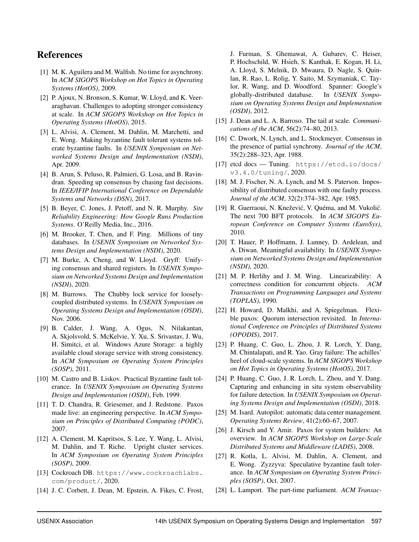## References

- <span id="page-15-10"></span>[1] M. K. Aguilera and M. Walfish. No time for asynchrony. In *ACM SIGOPS Workshop on Hot Topics in Operating Systems (HotOS)*, 2009.
- <span id="page-15-6"></span>[2] P. Ajoux, N. Bronson, S. Kumar, W. Lloyd, and K. Veeraraghavan. Challenges to adopting stronger consistency at scale. In *ACM SIGOPS Workshop on Hot Topics in Operating Systems (HotOS)*, 2015.
- <span id="page-15-11"></span>[3] L. Alvisi, A. Clement, M. Dahlin, M. Marchetti, and E. Wong. Making byzantine fault tolerant systems tolerate byzantine faults. In *USENIX Symposium on Networked Systems Design and Implementation (NSDI)*, Apr. 2009.
- <span id="page-15-22"></span>[4] B. Arun, S. Peluso, R. Palmieri, G. Losa, and B. Ravindran. Speeding up consensus by chasing fast decisions. In *IEEE/IFIP International Conference on Dependable Systems and Networks (DSN)*, 2017.
- <span id="page-15-8"></span>[5] B. Beyer, C. Jones, J. Petoff, and N. R. Murphy. *Site Reliability Engineering: How Google Runs Production Systems*. O'Reilly Media, Inc., 2016.
- <span id="page-15-3"></span>[6] M. Brooker, T. Chen, and F. Ping. Millions of tiny databases. In *USENIX Symposium on Networked Systems Design and Implementation (NSDI)*, 2020.
- <span id="page-15-24"></span>[7] M. Burke, A. Cheng, and W. Lloyd. Gryff: Unifying consensus and shared registers. In *USENIX Symposium on Networked Systems Design and Implementation (NSDI)*, 2020.
- <span id="page-15-17"></span>[8] M. Burrows. The Chubby lock service for looselycoupled distributed systems. In *USENIX Symposium on Operating Systems Design and Implementation (OSDI)*, Nov. 2006.
- <span id="page-15-4"></span>[9] B. Calder, J. Wang, A. Ogus, N. Nilakantan, A. Skjolsvold, S. McKelvie, Y. Xu, S. Srivastav, J. Wu, H. Simitci, et al. Windows Azure Storage: a highly available cloud storage service with strong consistency. In *ACM Symposium on Operating System Principles (SOSP)*, 2011.
- <span id="page-15-14"></span>[10] M. Castro and B. Liskov. Practical Byzantine fault tolerance. In *USENIX Symposium on Operating Systems Design and Implementation (OSDI)*, Feb. 1999.
- <span id="page-15-21"></span>[11] T. D. Chandra, R. Griesemer, and J. Redstone. Paxos made live: an engineering perspective. In *ACM Symposium on Principles of Distributed Computing (PODC)*, 2007.
- <span id="page-15-25"></span>[12] A. Clement, M. Kapritsos, S. Lee, Y. Wang, L. Alvisi, M. Dahlin, and T. Riche. Upright cluster services. In *ACM Symposium on Operating System Principles (SOSP)*, 2009.
- <span id="page-15-1"></span>[13] Cockroach DB. [https://www.cockroachlabs.](https://www.cockroachlabs.com/product/) [com/product/](https://www.cockroachlabs.com/product/), 2020.
- <span id="page-15-2"></span>[14] J. C. Corbett, J. Dean, M. Epstein, A. Fikes, C. Frost,

J. Furman, S. Ghemawat, A. Gubarev, C. Heiser, P. Hochschild, W. Hsieh, S. Kanthak, E. Kogan, H. Li, A. Lloyd, S. Melnik, D. Mwaura, D. Nagle, S. Quinlan, R. Rao, L. Rolig, Y. Saito, M. Szymaniak, C. Taylor, R. Wang, and D. Woodford. Spanner: Google's globally-distributed database. In *USENIX Symposium on Operating Systems Design and Implementation (OSDI)*, 2012.

- <span id="page-15-7"></span>[15] J. Dean and L. A. Barroso. The tail at scale. *Communications of the ACM*, 56(2):74–80, 2013.
- <span id="page-15-20"></span>[16] C. Dwork, N. Lynch, and L. Stockmeyer. Consensus in the presence of partial synchrony. *Journal of the ACM*, 35(2):288–323, Apr. 1988.
- <span id="page-15-18"></span>[17] etcd docs — Tuning. [https://etcd.io/docs/](https://etcd.io/docs/v3.4.0/tuning/) [v3.4.0/tuning/](https://etcd.io/docs/v3.4.0/tuning/), 2020.
- <span id="page-15-19"></span>[18] M. J. Fischer, N. A. Lynch, and M. S. Paterson. Impossibility of distributed consensus with one faulty process. *Journal of the ACM*, 32(2):374–382, Apr. 1985.
- <span id="page-15-26"></span>[19] R. Guerraoui, N. Knežević, V. Quéma, and M. Vukolić. The next 700 BFT protocols. In *ACM SIGOPS European Conference on Computer Systems (EuroSys)*, 2010.
- <span id="page-15-9"></span>[20] T. Hauer, P. Hoffmann, J. Lunney, D. Ardelean, and A. Diwan. Meaningful availability. In *USENIX Symposium on Networked Systems Design and Implementation (NSDI)*, 2020.
- <span id="page-15-0"></span>[21] M. P. Herlihy and J. M. Wing. Linearizability: A correctness condition for concurrent objects. *ACM Transactions on Programming Languages and Systems (TOPLAS)*, 1990.
- <span id="page-15-23"></span>[22] H. Howard, D. Malkhi, and A. Spiegelman. Flexible paxos: Quorum intersection revisited. In *International Conference on Principles of Distributed Systems (OPODIS)*, 2017.
- <span id="page-15-12"></span>[23] P. Huang, C. Guo, L. Zhou, J. R. Lorch, Y. Dang, M. Chintalapati, and R. Yao. Gray failure: The achilles' heel of cloud-scale systems. In *ACM SIGOPS Workshop on Hot Topics in Operating Systems (HotOS)*, 2017.
- <span id="page-15-13"></span>[24] P. Huang, C. Guo, J. R. Lorch, L. Zhou, and Y. Dang. Capturing and enhancing in situ system observability for failure detection. In *USENIX Symposium on Operating Systems Design and Implementation (OSDI)*, 2018.
- <span id="page-15-5"></span>[25] M. Isard. Autopilot: automatic data center management. *Operating Systems Review*, 41(2):60–67, 2007.
- <span id="page-15-16"></span>[26] J. Kirsch and Y. Amir. Paxos for system builders: An overview. In *ACM SIGOPS Workshop on Large-Scale Distributed Systems and Middleware (LADIS)*, 2008.
- <span id="page-15-27"></span>[27] R. Kotla, L. Alvisi, M. Dahlin, A. Clement, and E. Wong. Zyzzyva: Speculative byzantine fault tolerance. In *ACM Symposium on Operating System Principles (SOSP)*, Oct. 2007.
- <span id="page-15-15"></span>[28] L. Lamport. The part-time parliament. *ACM Transac-*